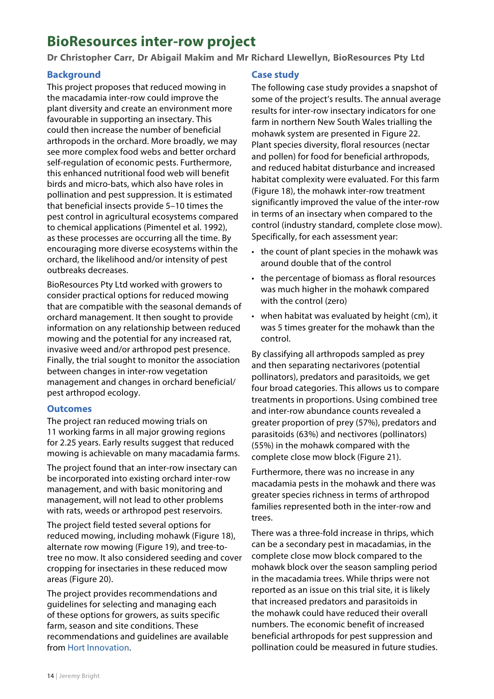# **BioResources inter-row project**

**Dr Christopher Carr, Dr Abigail Makim and Mr Richard Llewellyn, BioResources Pty Ltd**

## **Background**

This project proposes that reduced mowing in the macadamia inter-row could improve the plant diversity and create an environment more favourable in supporting an insectary. This could then increase the number of beneficial arthropods in the orchard. More broadly, we may see more complex food webs and better orchard self-regulation of economic pests. Furthermore, this enhanced nutritional food web will benefit birds and micro-bats, which also have roles in pollination and pest suppression. It is estimated that beneficial insects provide 5–10 times the pest control in agricultural ecosystems compared to chemical applications (Pimentel et al. 1992), as these processes are occurring all the time. By encouraging more diverse ecosystems within the orchard, the likelihood and/or intensity of pest outbreaks decreases.

BioResources Pty Ltd worked with growers to consider practical options for reduced mowing that are compatible with the seasonal demands of orchard management. It then sought to provide information on any relationship between reduced mowing and the potential for any increased rat, invasive weed and/or arthropod pest presence. Finally, the trial sought to monitor the association between changes in inter-row vegetation management and changes in orchard beneficial/ pest arthropod ecology.

### **Outcomes**

The project ran reduced mowing trials on 11 working farms in all major growing regions for 2.25 years. Early results suggest that reduced mowing is achievable on many macadamia farms.

The project found that an inter-row insectary can be incorporated into existing orchard inter-row management, and with basic monitoring and management, will not lead to other problems with rats, weeds or arthropod pest reservoirs.

The project field tested several options for reduced mowing, including mohawk [\(Figure](#page-1-0) 18), alternate row mowing [\(Figure](#page-1-1) 19), and tree-totree no mow. It also considered seeding and cover cropping for insectaries in these reduced mow areas ([Figure](#page-2-0) 20).

The project provides recommendations and guidelines for selecting and managing each of these options for growers, as suits specific farm, season and site conditions. These recommendations and guidelines are available from [Hort Innovation.](https://www.horticulture.com.au/growers/help-your-business-grow/research-reports-publications-fact-sheets-and-more/insectiaries-literature-review/)

## **Case study**

The following case study provides a snapshot of some of the project's results. The annual average results for inter-row insectary indicators for one farm in northern New South Wales trialling the mohawk system are presented in [Figure](#page-3-0) 22. Plant species diversity, floral resources (nectar and pollen) for food for beneficial arthropods, and reduced habitat disturbance and increased habitat complexity were evaluated. For this farm ([Figure](#page-1-0) 18), the mohawk inter-row treatment significantly improved the value of the inter-row in terms of an insectary when compared to the control (industry standard, complete close mow). Specifically, for each assessment year:

- the count of plant species in the mohawk was around double that of the control
- the percentage of biomass as floral resources was much higher in the mohawk compared with the control (zero)
- when habitat was evaluated by height (cm), it was 5 times greater for the mohawk than the control.

By classifying all arthropods sampled as prey and then separating nectarivores (potential pollinators), predators and parasitoids, we get four broad categories. This allows us to compare treatments in proportions. Using combined tree and inter-row abundance counts revealed a greater proportion of prey (57%), predators and parasitoids (63%) and nectivores (pollinators) (55%) in the mohawk compared with the complete close mow block ([Figure](#page-3-1) 21).

Furthermore, there was no increase in any macadamia pests in the mohawk and there was greater species richness in terms of arthropod families represented both in the inter-row and trees.

There was a three-fold increase in thrips, which can be a secondary pest in macadamias, in the complete close mow block compared to the mohawk block over the season sampling period in the macadamia trees. While thrips were not reported as an issue on this trial site, it is likely that increased predators and parasitoids in the mohawk could have reduced their overall numbers. The economic benefit of increased beneficial arthropods for pest suppression and pollination could be measured in future studies.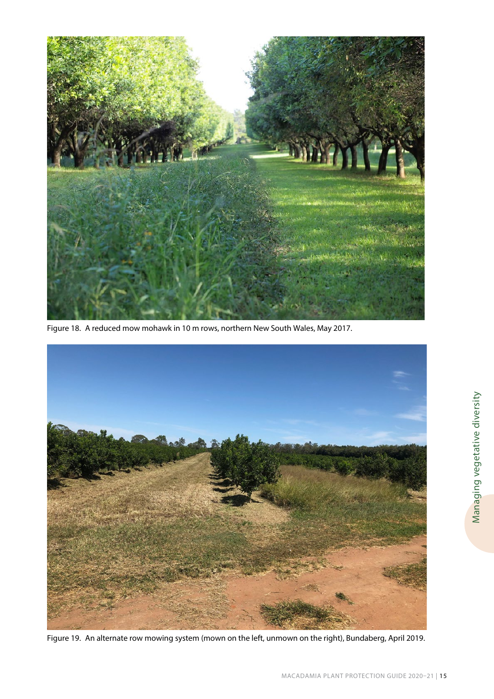

Figure 18. A reduced mow mohawk in 10 m rows, northern New South Wales, May 2017.

<span id="page-1-1"></span><span id="page-1-0"></span>

Figure 19. An alternate row mowing system (mown on the left, unmown on the right), Bundaberg, April 2019.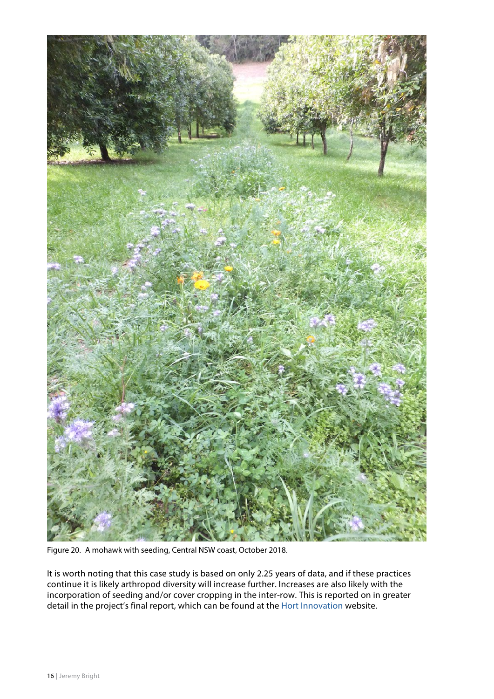

Figure 20. A mohawk with seeding, Central NSW coast, October 2018.

<span id="page-2-0"></span>It is worth noting that this case study is based on only 2.25 years of data, and if these practices continue it is likely arthropod diversity will increase further. Increases are also likely with the incorporation of seeding and/or cover cropping in the inter-row. This is reported on in greater detail in the project's final report, which can be found at the [Hort Innovation](https://www.horticulture.com.au/growers/help-your-business-grow/research-reports-publications-fact-sheets-and-more/mc16004-to-mc16008/) website.